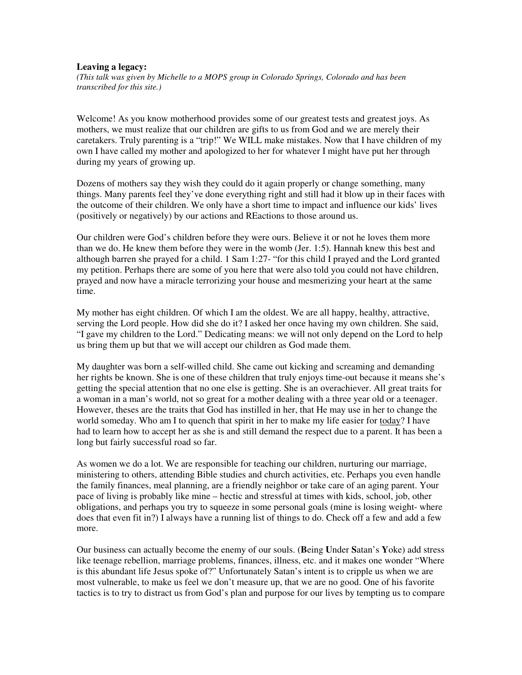## **Leaving a legacy:**

*(This talk was given by Michelle to a MOPS group in Colorado Springs, Colorado and has been transcribed for this site.)*

Welcome! As you know motherhood provides some of our greatest tests and greatest joys. As mothers, we must realize that our children are gifts to us from God and we are merely their caretakers. Truly parenting is a "trip!" We WILL make mistakes. Now that I have children of my own I have called my mother and apologized to her for whatever I might have put her through during my years of growing up.

Dozens of mothers say they wish they could do it again properly or change something, many things. Many parents feel they've done everything right and still had it blow up in their faces with the outcome of their children. We only have a short time to impact and influence our kids' lives (positively or negatively) by our actions and REactions to those around us.

Our children were God's children before they were ours. Believe it or not he loves them more than we do. He knew them before they were in the womb (Jer. 1:5). Hannah knew this best and although barren she prayed for a child. 1 Sam 1:27- "for this child I prayed and the Lord granted my petition. Perhaps there are some of you here that were also told you could not have children, prayed and now have a miracle terrorizing your house and mesmerizing your heart at the same time.

My mother has eight children. Of which I am the oldest. We are all happy, healthy, attractive, serving the Lord people. How did she do it? I asked her once having my own children. She said, "I gave my children to the Lord." Dedicating means: we will not only depend on the Lord to help us bring them up but that we will accept our children as God made them.

My daughter was born a self-willed child. She came out kicking and screaming and demanding her rights be known. She is one of these children that truly enjoys time-out because it means she's getting the special attention that no one else is getting. She is an overachiever. All great traits for a woman in a man's world, not so great for a mother dealing with a three year old or a teenager. However, theses are the traits that God has instilled in her, that He may use in her to change the world someday. Who am I to quench that spirit in her to make my life easier for today? I have had to learn how to accept her as she is and still demand the respect due to a parent. It has been a long but fairly successful road so far.

As women we do a lot. We are responsible for teaching our children, nurturing our marriage, ministering to others, attending Bible studies and church activities, etc. Perhaps you even handle the family finances, meal planning, are a friendly neighbor or take care of an aging parent. Your pace of living is probably like mine – hectic and stressful at times with kids, school, job, other obligations, and perhaps you try to squeeze in some personal goals (mine is losing weight- where does that even fit in?) I always have a running list of things to do. Check off a few and add a few more.

Our business can actually become the enemy of our souls. (**B**eing **U**nder **S**atan's **Y**oke) add stress like teenage rebellion, marriage problems, finances, illness, etc. and it makes one wonder "Where is this abundant life Jesus spoke of?" Unfortunately Satan's intent is to cripple us when we are most vulnerable, to make us feel we don't measure up, that we are no good. One of his favorite tactics is to try to distract us from God's plan and purpose for our lives by tempting us to compare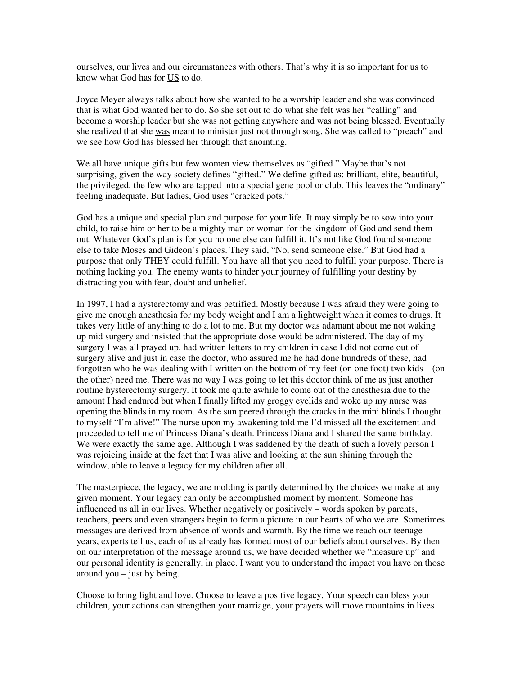ourselves, our lives and our circumstances with others. That's why it is so important for us to know what God has for US to do.

Joyce Meyer always talks about how she wanted to be a worship leader and she was convinced that is what God wanted her to do. So she set out to do what she felt was her "calling" and become a worship leader but she was not getting anywhere and was not being blessed. Eventually she realized that she was meant to minister just not through song. She was called to "preach" and we see how God has blessed her through that anointing.

We all have unique gifts but few women view themselves as "gifted." Maybe that's not surprising, given the way society defines "gifted." We define gifted as: brilliant, elite, beautiful, the privileged, the few who are tapped into a special gene pool or club. This leaves the "ordinary" feeling inadequate. But ladies, God uses "cracked pots."

God has a unique and special plan and purpose for your life. It may simply be to sow into your child, to raise him or her to be a mighty man or woman for the kingdom of God and send them out. Whatever God's plan is for you no one else can fulfill it. It's not like God found someone else to take Moses and Gideon's places. They said, "No, send someone else." But God had a purpose that only THEY could fulfill. You have all that you need to fulfill your purpose. There is nothing lacking you. The enemy wants to hinder your journey of fulfilling your destiny by distracting you with fear, doubt and unbelief.

In 1997, I had a hysterectomy and was petrified. Mostly because I was afraid they were going to give me enough anesthesia for my body weight and I am a lightweight when it comes to drugs. It takes very little of anything to do a lot to me. But my doctor was adamant about me not waking up mid surgery and insisted that the appropriate dose would be administered. The day of my surgery I was all prayed up, had written letters to my children in case I did not come out of surgery alive and just in case the doctor, who assured me he had done hundreds of these, had forgotten who he was dealing with I written on the bottom of my feet (on one foot) two kids – (on the other) need me. There was no way I was going to let this doctor think of me as just another routine hysterectomy surgery. It took me quite awhile to come out of the anesthesia due to the amount I had endured but when I finally lifted my groggy eyelids and woke up my nurse was opening the blinds in my room. As the sun peered through the cracks in the mini blinds I thought to myself "I'm alive!" The nurse upon my awakening told me I'd missed all the excitement and proceeded to tell me of Princess Diana's death. Princess Diana and I shared the same birthday. We were exactly the same age. Although I was saddened by the death of such a lovely person I was rejoicing inside at the fact that I was alive and looking at the sun shining through the window, able to leave a legacy for my children after all.

The masterpiece, the legacy, we are molding is partly determined by the choices we make at any given moment. Your legacy can only be accomplished moment by moment. Someone has influenced us all in our lives. Whether negatively or positively – words spoken by parents, teachers, peers and even strangers begin to form a picture in our hearts of who we are. Sometimes messages are derived from absence of words and warmth. By the time we reach our teenage years, experts tell us, each of us already has formed most of our beliefs about ourselves. By then on our interpretation of the message around us, we have decided whether we "measure up" and our personal identity is generally, in place. I want you to understand the impact you have on those around you  $-$  just by being.

Choose to bring light and love. Choose to leave a positive legacy. Your speech can bless your children, your actions can strengthen your marriage, your prayers will move mountains in lives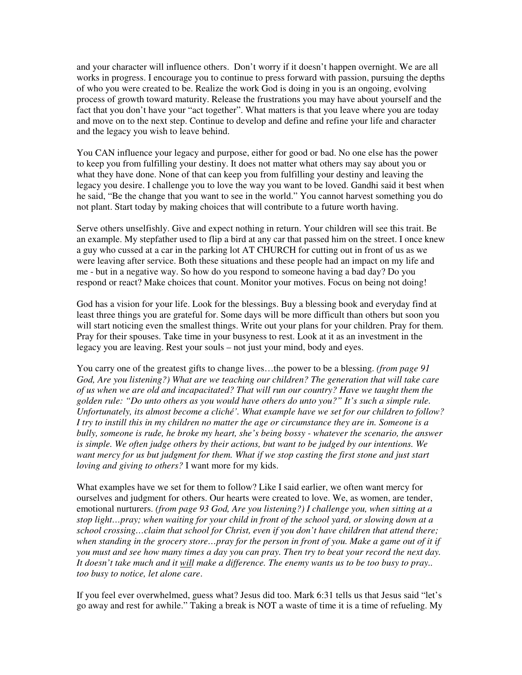and your character will influence others. Don't worry if it doesn't happen overnight. We are all works in progress. I encourage you to continue to press forward with passion, pursuing the depths of who you were created to be. Realize the work God is doing in you is an ongoing, evolving process of growth toward maturity. Release the frustrations you may have about yourself and the fact that you don't have your "act together". What matters is that you leave where you are today and move on to the next step. Continue to develop and define and refine your life and character and the legacy you wish to leave behind.

You CAN influence your legacy and purpose, either for good or bad. No one else has the power to keep you from fulfilling your destiny. It does not matter what others may say about you or what they have done. None of that can keep you from fulfilling your destiny and leaving the legacy you desire. I challenge you to love the way you want to be loved. Gandhi said it best when he said, "Be the change that you want to see in the world." You cannot harvest something you do not plant. Start today by making choices that will contribute to a future worth having.

Serve others unselfishly. Give and expect nothing in return. Your children will see this trait. Be an example. My stepfather used to flip a bird at any car that passed him on the street. I once knew a guy who cussed at a car in the parking lot AT CHURCH for cutting out in front of us as we were leaving after service. Both these situations and these people had an impact on my life and me - but in a negative way. So how do you respond to someone having a bad day? Do you respond or react? Make choices that count. Monitor your motives. Focus on being not doing!

God has a vision for your life. Look for the blessings. Buy a blessing book and everyday find at least three things you are grateful for. Some days will be more difficult than others but soon you will start noticing even the smallest things. Write out your plans for your children. Pray for them. Pray for their spouses. Take time in your busyness to rest. Look at it as an investment in the legacy you are leaving. Rest your souls – not just your mind, body and eyes.

You carry one of the greatest gifts to change lives…the power to be a blessing. *(from page 91 God, Are you listening?) What are we teaching our children? The generation that will take care of us when we are old and incapacitated? That will run our country? Have we taught them the golden rule: "Do unto others as you would have others do unto you?" It's such a simple rule. Unfortunately, its almost become a cliché'. What example have we set for our children to follow? I try to instill this in my children no matter the age or circumstance they are in. Someone is a bully, someone is rude, he broke my heart, she's being bossy - whatever the scenario, the answer is simple. We often judge others by their actions, but want to be judged by our intentions. We want mercy for us but judgment for them. What if we stop casting the first stone and just start loving and giving to others?* I want more for my kids.

What examples have we set for them to follow? Like I said earlier, we often want mercy for ourselves and judgment for others. Our hearts were created to love. We, as women, are tender, emotional nurturers. *(from page 93 God, Are you listening?) I challenge you, when sitting at a stop light…pray; when waiting for your child in front of the school yard, or slowing down at a school crossing…claim that school for Christ, even if you don't have children that attend there;*  when standing in the grocery store...pray for the person in front of you. Make a game out of it if *you must and see how many times a day you can pray. Then try to beat your record the next day. It doesn't take much and it will make a difference. The enemy wants us to be too busy to pray.. too busy to notice, let alone care*.

If you feel ever overwhelmed, guess what? Jesus did too. Mark 6:31 tells us that Jesus said "let's go away and rest for awhile." Taking a break is NOT a waste of time it is a time of refueling. My